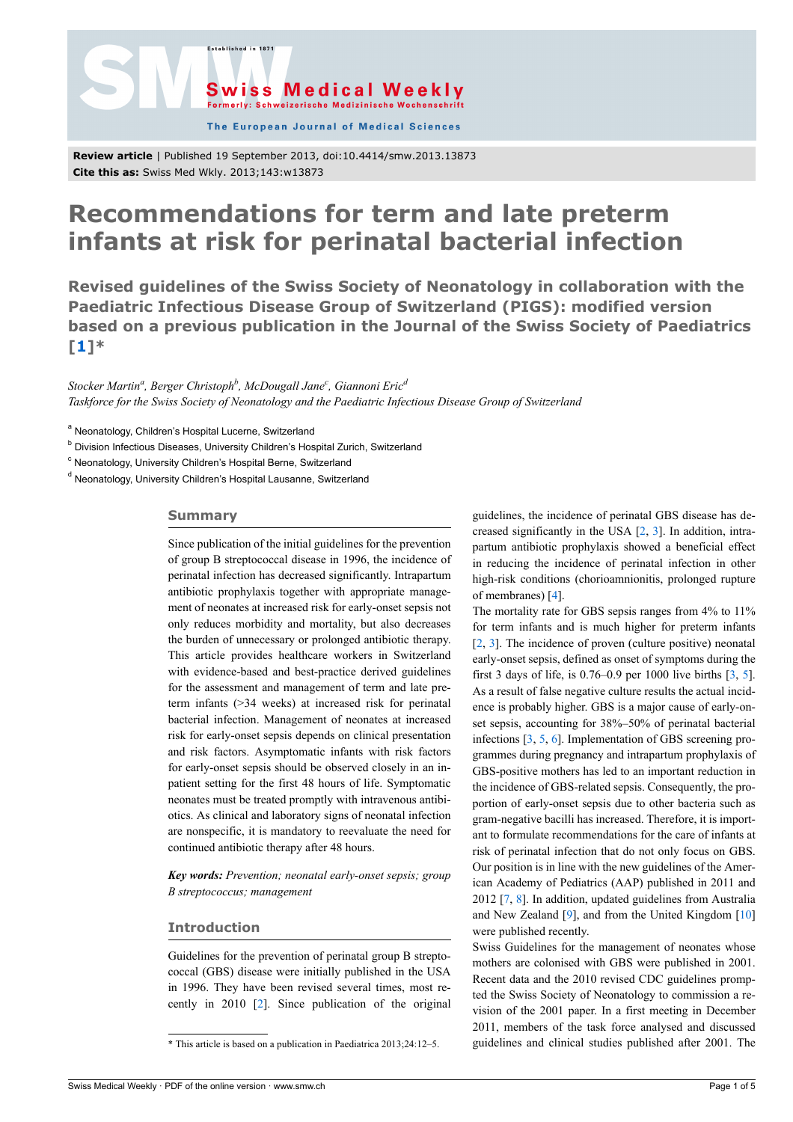

The European Journal of Medical Sciences

**Review article** | Published 19 September 2013, doi:10.4414/smw.2013.13873 **Cite this as:** Swiss Med Wkly. 2013;143:w13873

.<br>Established in 187

# **Recommendations for term and late preterm infants at risk for perinatal bacterial infection**

**Revised guidelines of the Swiss Society of Neonatology in collaboration with the Paediatric Infectious Disease Group of Switzerland (PIGS): modified version based on a previous publication in the Journal of the Swiss Society of Paediatrics [\[1](#page-3-9)]\***

*Stocker Martin<sup>a</sup> , Berger Christoph<sup>b</sup> , McDougall Jane<sup>c</sup> , Giannoni Eric<sup>d</sup> Taskforce for the Swiss Society of Neonatology and the Paediatric Infectious Disease Group of Switzerland*

<sup>a</sup> Neonatology, Children's Hospital Lucerne, Switzerland

<sup>b</sup> Division Infectious Diseases, University Children's Hospital Zurich, Switzerland

<sup>c</sup> Neonatology, University Children's Hospital Berne, Switzerland

<sup>d</sup> Neonatology, University Children's Hospital Lausanne, Switzerland

#### **Summary**

Since publication of the initial guidelines for the prevention of group B streptococcal disease in 1996, the incidence of perinatal infection has decreased significantly. Intrapartum antibiotic prophylaxis together with appropriate management of neonates at increased risk for early-onset sepsis not only reduces morbidity and mortality, but also decreases the burden of unnecessary or prolonged antibiotic therapy. This article provides healthcare workers in Switzerland with evidence-based and best-practice derived guidelines for the assessment and management of term and late preterm infants (>34 weeks) at increased risk for perinatal bacterial infection. Management of neonates at increased risk for early-onset sepsis depends on clinical presentation and risk factors. Asymptomatic infants with risk factors for early-onset sepsis should be observed closely in an inpatient setting for the first 48 hours of life. Symptomatic neonates must be treated promptly with intravenous antibiotics. As clinical and laboratory signs of neonatal infection are nonspecific, it is mandatory to reevaluate the need for continued antibiotic therapy after 48 hours.

*Key words: Prevention; neonatal early-onset sepsis; group B streptococcus; management*

## **Introduction**

Guidelines for the prevention of perinatal group B streptococcal (GBS) disease were initially published in the USA in 1996. They have been revised several times, most recently in 2010 [\[2\]](#page-3-0). Since publication of the original

guidelines, the incidence of perinatal GBS disease has decreased significantly in the USA [\[2,](#page-3-0) [3](#page-3-1)]. In addition, intrapartum antibiotic prophylaxis showed a beneficial effect in reducing the incidence of perinatal infection in other high-risk conditions (chorioamnionitis, prolonged rupture of membranes) [\[4\]](#page-3-2).

The mortality rate for GBS sepsis ranges from 4% to 11% for term infants and is much higher for preterm infants [[2](#page-3-0), [3\]](#page-3-1). The incidence of proven (culture positive) neonatal early-onset sepsis, defined as onset of symptoms during the first [3](#page-3-1) days of life, is  $0.76-0.9$  per 1000 live births  $\lceil 3, 5 \rceil$ . As a result of false negative culture results the actual incidence is probably higher. GBS is a major cause of early-onset sepsis, accounting for 38%–50% of perinatal bacterial infections [\[3,](#page-3-1) [5](#page-3-3), [6](#page-3-4)]. Implementation of GBS screening programmes during pregnancy and intrapartum prophylaxis of GBS-positive mothers has led to an important reduction in the incidence of GBS-related sepsis. Consequently, the proportion of early-onset sepsis due to other bacteria such as gram-negative bacilli has increased. Therefore, it is important to formulate recommendations for the care of infants at risk of perinatal infection that do not only focus on GBS. Our position is in line with the new guidelines of the American Academy of Pediatrics (AAP) published in 2011 and 2012 [\[7,](#page-3-5) [8\]](#page-3-6). In addition, updated guidelines from Australia and New Zealand [\[9\]](#page-3-7), and from the United Kingdom [[10\]](#page-3-8) were published recently.

Swiss Guidelines for the management of neonates whose mothers are colonised with GBS were published in 2001. Recent data and the 2010 revised CDC guidelines prompted the Swiss Society of Neonatology to commission a revision of the 2001 paper. In a first meeting in December 2011, members of the task force analysed and discussed guidelines and clinical studies published after 2001. The

<sup>\*</sup> This article is based on a publication in Paediatrica 2013;24:12‒5.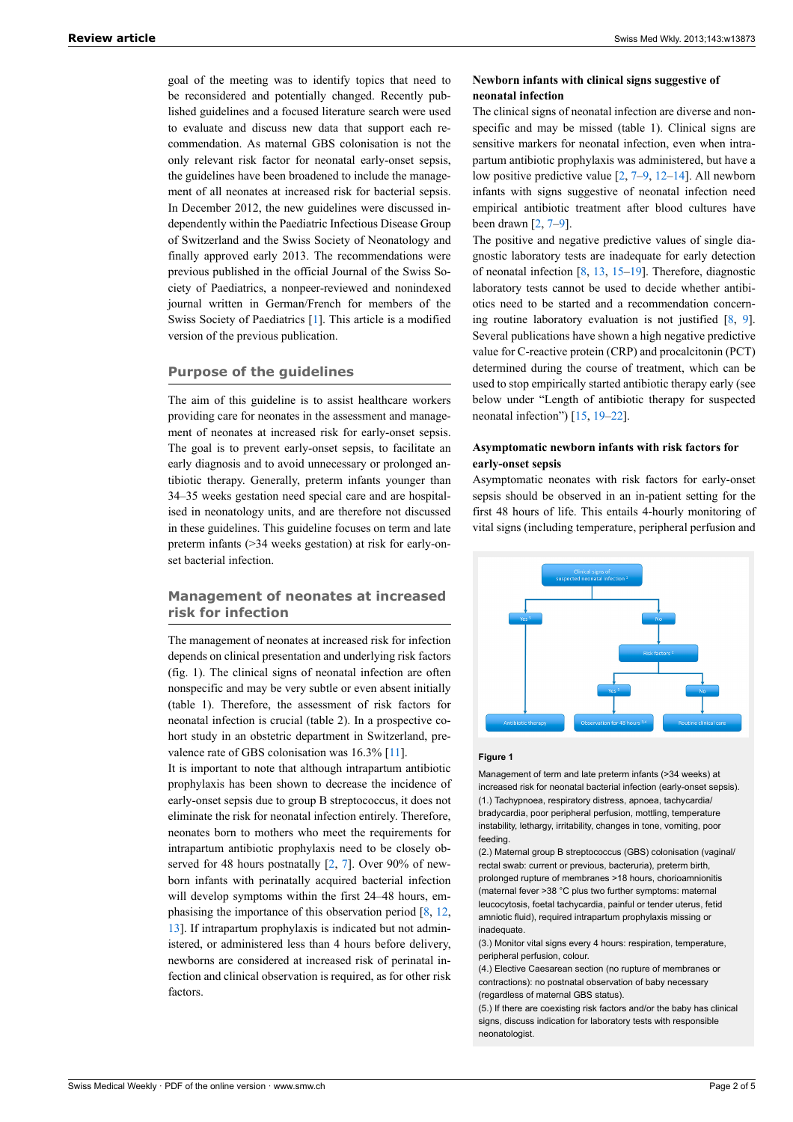goal of the meeting was to identify topics that need to be reconsidered and potentially changed. Recently published guidelines and a focused literature search were used to evaluate and discuss new data that support each recommendation. As maternal GBS colonisation is not the only relevant risk factor for neonatal early-onset sepsis, the guidelines have been broadened to include the management of all neonates at increased risk for bacterial sepsis. In December 2012, the new guidelines were discussed independently within the Paediatric Infectious Disease Group of Switzerland and the Swiss Society of Neonatology and finally approved early 2013. The recommendations were previous published in the official Journal of the Swiss Society of Paediatrics, a nonpeer-reviewed and nonindexed journal written in German/French for members of the Swiss Society of Paediatrics [[1](#page-3-9)]. This article is a modified version of the previous publication.

## **Purpose of the guidelines**

The aim of this guideline is to assist healthcare workers providing care for neonates in the assessment and management of neonates at increased risk for early-onset sepsis. The goal is to prevent early-onset sepsis, to facilitate an early diagnosis and to avoid unnecessary or prolonged antibiotic therapy. Generally, preterm infants younger than 34–35 weeks gestation need special care and are hospitalised in neonatology units, and are therefore not discussed in these guidelines. This guideline focuses on term and late preterm infants (>34 weeks gestation) at risk for early-onset bacterial infection.

## **Management of neonates at increased risk for infection**

The management of neonates at increased risk for infection depends on clinical presentation and underlying risk factors (fig. 1). The clinical signs of neonatal infection are often nonspecific and may be very subtle or even absent initially (table 1). Therefore, the assessment of risk factors for neonatal infection is crucial (table 2). In a prospective cohort study in an obstetric department in Switzerland, prevalence rate of GBS colonisation was 16.3% [[11\]](#page-3-10).

It is important to note that although intrapartum antibiotic prophylaxis has been shown to decrease the incidence of early-onset sepsis due to group B streptococcus, it does not eliminate the risk for neonatal infection entirely. Therefore, neonates born to mothers who meet the requirements for intrapartum antibiotic prophylaxis need to be closely observed for 48 hours postnatally [[2](#page-3-0), [7\]](#page-3-5). Over 90% of newborn infants with perinatally acquired bacterial infection will develop symptoms within the first 24–48 hours, emphasising the importance of this observation period [[8](#page-3-6), [12](#page-3-11), [13](#page-3-12)]. If intrapartum prophylaxis is indicated but not administered, or administered less than 4 hours before delivery, newborns are considered at increased risk of perinatal infection and clinical observation is required, as for other risk factors.

## **Newborn infants with clinical signs suggestive of neonatal infection**

The clinical signs of neonatal infection are diverse and nonspecific and may be missed (table 1). Clinical signs are sensitive markers for neonatal infection, even when intrapartum antibiotic prophylaxis was administered, but have a low positive predictive value [\[2,](#page-3-0) [7](#page-3-5)[–9,](#page-3-7) [12–](#page-3-11)[14](#page-3-13)]. All newborn infants with signs suggestive of neonatal infection need empirical antibiotic treatment after blood cultures have been drawn  $[2, 7-9]$  $[2, 7-9]$  $[2, 7-9]$  $[2, 7-9]$  $[2, 7-9]$  $[2, 7-9]$  $[2, 7-9]$ .

The positive and negative predictive values of single diagnostic laboratory tests are inadequate for early detection of neonatal infection [[8](#page-3-6), [13](#page-3-12), [15](#page-3-14)–[19\]](#page-3-15). Therefore, diagnostic laboratory tests cannot be used to decide whether antibiotics need to be started and a recommendation concerning routine laboratory evaluation is not justified  $[8, 9]$  $[8, 9]$  $[8, 9]$ . Several publications have shown a high negative predictive value for C-reactive protein (CRP) and procalcitonin (PCT) determined during the course of treatment, which can be used to stop empirically started antibiotic therapy early (see below under "Length of antibiotic therapy for suspected neonatal infection") [[15,](#page-3-14) [19](#page-3-15)–[22\]](#page-3-16).

#### **Asymptomatic newborn infants with risk factors for early-onset sepsis**

Asymptomatic neonates with risk factors for early-onset sepsis should be observed in an in-patient setting for the first 48 hours of life. This entails 4-hourly monitoring of vital signs (including temperature, peripheral perfusion and



#### **Figure 1**

Management of term and late preterm infants (>34 weeks) at increased risk for neonatal bacterial infection (early-onset sepsis). (1.) Tachypnoea, respiratory distress, apnoea, tachycardia/ bradycardia, poor peripheral perfusion, mottling, temperature instability, lethargy, irritability, changes in tone, vomiting, poor feeding.

(2.) Maternal group B streptococcus (GBS) colonisation (vaginal/ rectal swab: current or previous, bacteruria), preterm birth, prolonged rupture of membranes >18 hours, chorioamnionitis (maternal fever >38 °C plus two further symptoms: maternal leucocytosis, foetal tachycardia, painful or tender uterus, fetid amniotic fluid), required intrapartum prophylaxis missing or inadequate.

(3.) Monitor vital signs every 4 hours: respiration, temperature, peripheral perfusion, colour.

(4.) Elective Caesarean section (no rupture of membranes or contractions): no postnatal observation of baby necessary (regardless of maternal GBS status).

(5.) If there are coexisting risk factors and/or the baby has clinical signs, discuss indication for laboratory tests with responsible neonatologist.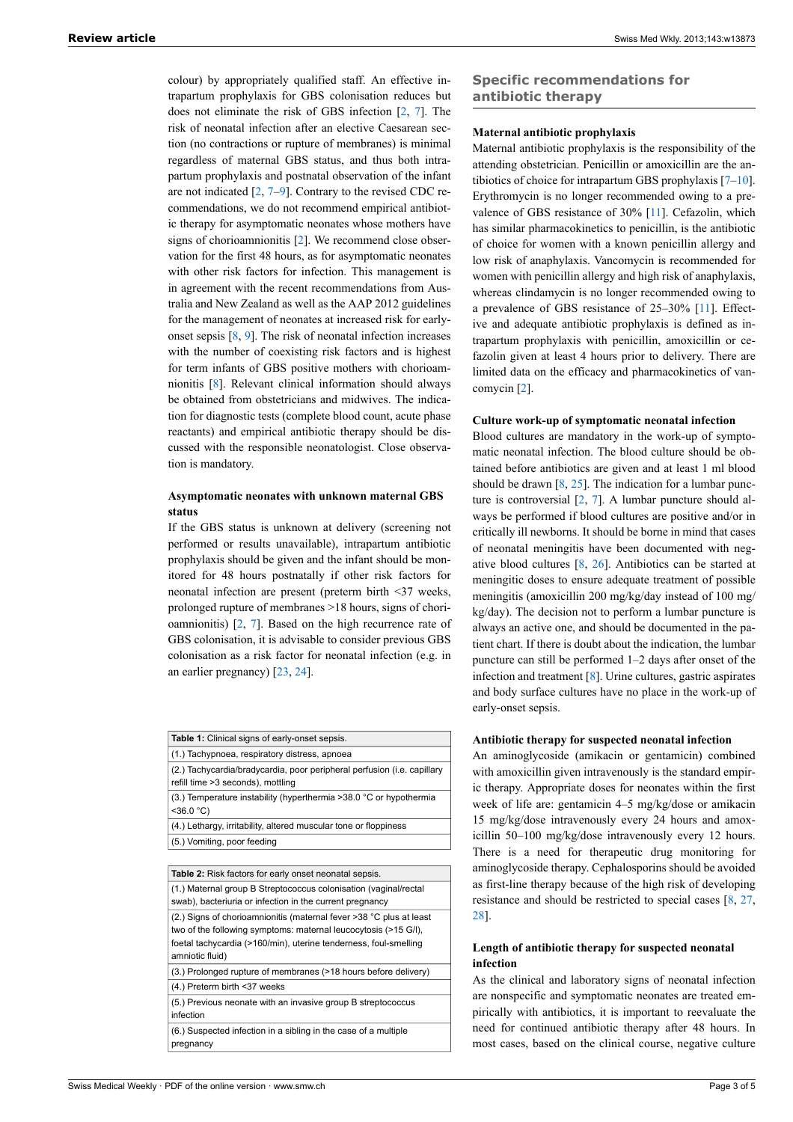colour) by appropriately qualified staff. An effective intrapartum prophylaxis for GBS colonisation reduces but does not eliminate the risk of GBS infection [[2](#page-3-0), [7\]](#page-3-5). The risk of neonatal infection after an elective Caesarean section (no contractions or rupture of membranes) is minimal regardless of maternal GBS status, and thus both intrapartum prophylaxis and postnatal observation of the infant are not indicated [[2](#page-3-0), [7](#page-3-5)–[9](#page-3-7)]. Contrary to the revised CDC recommendations, we do not recommend empirical antibiotic therapy for asymptomatic neonates whose mothers have signs of chorioamnionitis [\[2\]](#page-3-0). We recommend close observation for the first 48 hours, as for asymptomatic neonates with other risk factors for infection. This management is in agreement with the recent recommendations from Australia and New Zealand as well as the AAP 2012 guidelines for the management of neonates at increased risk for earlyonset sepsis [\[8,](#page-3-6) [9](#page-3-7)]. The risk of neonatal infection increases with the number of coexisting risk factors and is highest for term infants of GBS positive mothers with chorioamnionitis [[8](#page-3-6)]. Relevant clinical information should always be obtained from obstetricians and midwives. The indication for diagnostic tests (complete blood count, acute phase reactants) and empirical antibiotic therapy should be discussed with the responsible neonatologist. Close observation is mandatory.

## **Asymptomatic neonates with unknown maternal GBS status**

If the GBS status is unknown at delivery (screening not performed or results unavailable), intrapartum antibiotic prophylaxis should be given and the infant should be monitored for 48 hours postnatally if other risk factors for neonatal infection are present (preterm birth <37 weeks, prolonged rupture of membranes >18 hours, signs of chorioamnionitis) [[2](#page-3-0), [7\]](#page-3-5). Based on the high recurrence rate of GBS colonisation, it is advisable to consider previous GBS colonisation as a risk factor for neonatal infection (e.g. in an earlier pregnancy) [[23,](#page-3-17) [24](#page-3-18)].

| <b>Table 1:</b> Clinical signs of early-onset sepsis.                                                                                                                                                                         |
|-------------------------------------------------------------------------------------------------------------------------------------------------------------------------------------------------------------------------------|
| (1.) Tachypnoea, respiratory distress, apnoea                                                                                                                                                                                 |
| (2.) Tachycardia/bradycardia, poor peripheral perfusion (i.e. capillary<br>refill time >3 seconds), mottling                                                                                                                  |
| (3.) Temperature instability (hyperthermia $>38.0$ °C or hypothermia<br>$<$ 36.0 °C)                                                                                                                                          |
| (4.) Lethargy, irritability, altered muscular tone or floppiness                                                                                                                                                              |
| (5.) Vomiting, poor feeding                                                                                                                                                                                                   |
|                                                                                                                                                                                                                               |
| Table 2: Risk factors for early onset neonatal sepsis.                                                                                                                                                                        |
| (1.) Maternal group B Streptococcus colonisation (vaginal/rectal<br>swab), bacteriuria or infection in the current pregnancy                                                                                                  |
| (2.) Signs of chorioamnionitis (maternal fever >38 °C plus at least<br>two of the following symptoms: maternal leucocytosis (>15 G/I),<br>foetal tachycardia (>160/min), uterine tenderness, foul-smelling<br>amniotic fluid) |
| (3.) Prolonged rupture of membranes (>18 hours before delivery)                                                                                                                                                               |
| (4.) Preterm birth <37 weeks                                                                                                                                                                                                  |
| (5.) Previous neonate with an invasive group B streptococcus<br>infection                                                                                                                                                     |
| (6.) Suspected infection in a sibling in the case of a multiple<br>pregnancy                                                                                                                                                  |
|                                                                                                                                                                                                                               |

## **Specific recommendations for antibiotic therapy**

## **Maternal antibiotic prophylaxis**

Maternal antibiotic prophylaxis is the responsibility of the attending obstetrician. Penicillin or amoxicillin are the antibiotics of choice for intrapartum GBS prophylaxis [[7](#page-3-5)–[10\]](#page-3-8). Erythromycin is no longer recommended owing to a prevalence of GBS resistance of 30% [[11](#page-3-10)]. Cefazolin, which has similar pharmacokinetics to penicillin, is the antibiotic of choice for women with a known penicillin allergy and low risk of anaphylaxis. Vancomycin is recommended for women with penicillin allergy and high risk of anaphylaxis, whereas clindamycin is no longer recommended owing to a prevalence of GBS resistance of 25–30% [\[11](#page-3-10)]. Effective and adequate antibiotic prophylaxis is defined as intrapartum prophylaxis with penicillin, amoxicillin or cefazolin given at least 4 hours prior to delivery. There are limited data on the efficacy and pharmacokinetics of vancomycin [[2](#page-3-0)].

#### **Culture work-up of symptomatic neonatal infection**

Blood cultures are mandatory in the work-up of symptomatic neonatal infection. The blood culture should be obtained before antibiotics are given and at least 1 ml blood should be drawn  $[8, 25]$  $[8, 25]$  $[8, 25]$  $[8, 25]$ . The indication for a lumbar puncture is controversial [\[2,](#page-3-0) [7\]](#page-3-5). A lumbar puncture should always be performed if blood cultures are positive and/or in critically ill newborns. It should be borne in mind that cases of neonatal meningitis have been documented with negative blood cultures [\[8,](#page-3-6) [26](#page-3-20)]. Antibiotics can be started at meningitic doses to ensure adequate treatment of possible meningitis (amoxicillin 200 mg/kg/day instead of 100 mg/ kg/day). The decision not to perform a lumbar puncture is always an active one, and should be documented in the patient chart. If there is doubt about the indication, the lumbar puncture can still be performed 1‒2 days after onset of the infection and treatment [[8](#page-3-6)]. Urine cultures, gastric aspirates and body surface cultures have no place in the work-up of early-onset sepsis.

#### **Antibiotic therapy for suspected neonatal infection**

An aminoglycoside (amikacin or gentamicin) combined with amoxicillin given intravenously is the standard empiric therapy. Appropriate doses for neonates within the first week of life are: gentamicin 4–5 mg/kg/dose or amikacin 15 mg/kg/dose intravenously every 24 hours and amoxicillin 50–100 mg/kg/dose intravenously every 12 hours. There is a need for therapeutic drug monitoring for aminoglycoside therapy. Cephalosporins should be avoided as first-line therapy because of the high risk of developing resistance and should be restricted to special cases [\[8,](#page-3-6) [27,](#page-3-21) [28\]](#page-3-22).

#### **Length of antibiotic therapy for suspected neonatal infection**

As the clinical and laboratory signs of neonatal infection are nonspecific and symptomatic neonates are treated empirically with antibiotics, it is important to reevaluate the need for continued antibiotic therapy after 48 hours. In most cases, based on the clinical course, negative culture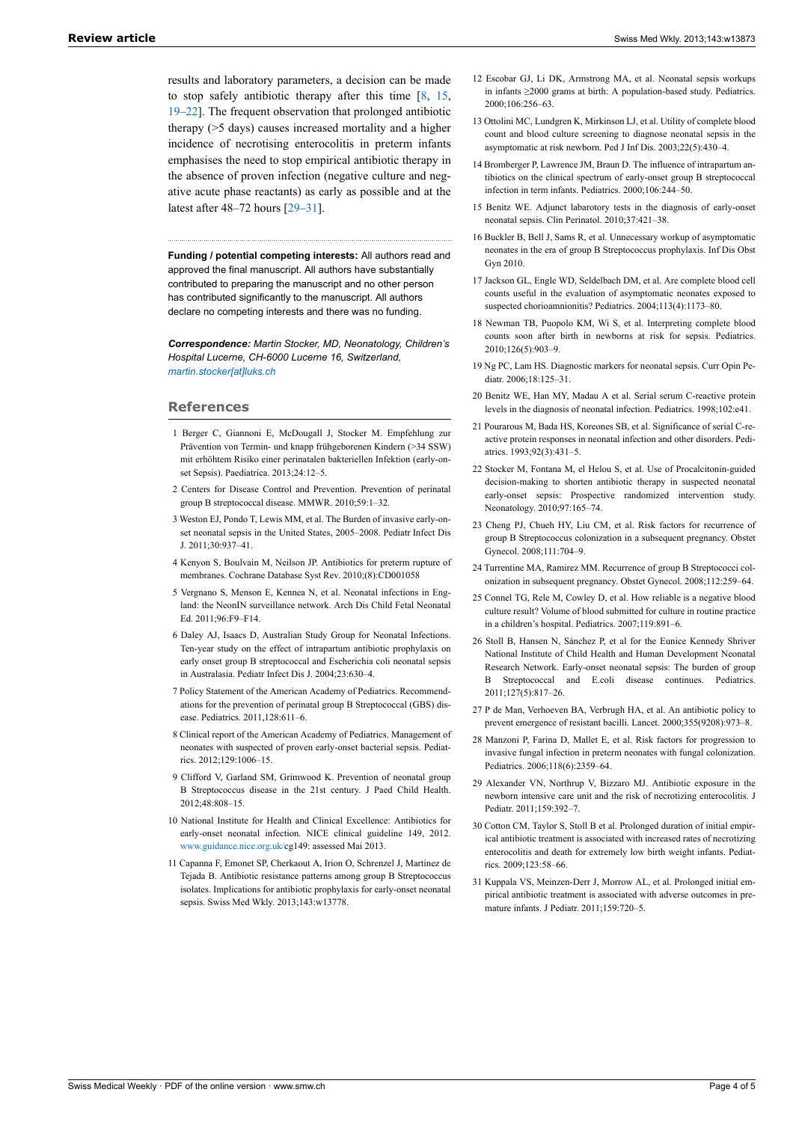<span id="page-3-13"></span><span id="page-3-12"></span><span id="page-3-11"></span>results and laboratory parameters, a decision can be made to stop safely antibiotic therapy after this time  $[8, 15, 15]$  $[8, 15, 15]$  $[8, 15, 15]$  $[8, 15, 15]$  $[8, 15, 15]$ [19](#page-3-15)–[22\]](#page-3-16). The frequent observation that prolonged antibiotic therapy (>5 days) causes increased mortality and a higher incidence of necrotising enterocolitis in preterm infants emphasises the need to stop empirical antibiotic therapy in the absence of proven infection (negative culture and negative acute phase reactants) as early as possible and at the latest after 48–72 hours [[29](#page-3-23)[–31](#page-3-24)].

<span id="page-3-14"></span>**Funding / potential competing interests:** All authors read and approved the final manuscript. All authors have substantially contributed to preparing the manuscript and no other person has contributed significantly to the manuscript. All authors declare no competing interests and there was no funding.

<span id="page-3-15"></span>*Correspondence: Martin Stocker, MD, Neonatology, Children's Hospital Lucerne, CH-6000 Lucerne 16, Switzerland, [martin.stocker\[at\]luks.ch](mailto:martin.stocker@luks.ch)*

## <span id="page-3-9"></span>**References**

- 1 Berger C, Giannoni E, McDougall J, Stocker M. Empfehlung zur Prävention von Termin- und knapp frühgeborenen Kindern (>34 SSW) mit erhöhtem Risiko einer perinatalen bakteriellen Infektion (early-onset Sepsis). Paediatrica. 2013;24:12–5.
- <span id="page-3-16"></span><span id="page-3-0"></span>2 Centers for Disease Control and Prevention. Prevention of perinatal group B streptococcal disease. MMWR. 2010;59:1–32.
- <span id="page-3-17"></span><span id="page-3-1"></span>3 Weston EJ, Pondo T, Lewis MM, et al. The Burden of invasive early-onset neonatal sepsis in the United States, 2005–2008. Pediatr Infect Dis J. 2011;30:937–41.
- <span id="page-3-18"></span><span id="page-3-2"></span>4 Kenyon S, Boulvain M, Neilson JP. Antibiotics for preterm rupture of membranes. Cochrane Database Syst Rev. 2010;(8):CD001058
- <span id="page-3-19"></span><span id="page-3-3"></span>5 Vergnano S, Menson E, Kennea N, et al. Neonatal infections in England: the NeonIN surveillance network. Arch Dis Child Fetal Neonatal Ed. 2011;96:F9–F14.
- <span id="page-3-20"></span><span id="page-3-4"></span>6 Daley AJ, Isaacs D, Australian Study Group for Neonatal Infections. Ten-year study on the effect of intrapartum antibiotic prophylaxis on early onset group B streptococcal and Escherichia coli neonatal sepsis in Australasia. Pediatr Infect Dis J. 2004;23:630–4.
- <span id="page-3-21"></span><span id="page-3-5"></span>7 Policy Statement of the American Academy of Pediatrics. Recommendations for the prevention of perinatal group B Streptococcal (GBS) disease. Pediatrics. 2011,128:611–6.
- <span id="page-3-22"></span><span id="page-3-6"></span>8 Clinical report of the American Academy of Pediatrics. Management of neonates with suspected of proven early-onset bacterial sepsis. Pediatrics. 2012;129:1006–15.
- <span id="page-3-23"></span><span id="page-3-7"></span>9 Clifford V, Garland SM, Grimwood K. Prevention of neonatal group B Streptococcus disease in the 21st century. J Paed Child Health. 2012;48:808–15.
- <span id="page-3-8"></span>10 National Institute for Health and Clinical Excellence: Antibiotics for early-onset neonatal infection. NICE clinical guideline 149, 2012. [www.guidance.nice.org.uk/](http://www.guidance.nice.org.uk/)cg149: assessed Mai 2013.
- <span id="page-3-24"></span><span id="page-3-10"></span>11 Capanna F, Emonet SP, Cherkaout A, Irion O, Schrenzel J, Martinez de Tejada B. Antibiotic resistance patterns among group B Streptococcus isolates. Implications for antibiotic prophylaxis for early-onset neonatal sepsis. Swiss Med Wkly. 2013;143:w13778.
- 12 Escobar GJ, Li DK, Armstrong MA, et al. Neonatal sepsis workups in infants ≥2000 grams at birth: A population-based study. Pediatrics. 2000;106:256–63.
- 13 Ottolini MC, Lundgren K, Mirkinson LJ, et al. Utility of complete blood count and blood culture screening to diagnose neonatal sepsis in the asymptomatic at risk newborn. Ped J Inf Dis. 2003;22(5):430–4.
- 14 Bromberger P, Lawrence JM, Braun D. The influence of intrapartum antibiotics on the clinical spectrum of early-onset group B streptococcal infection in term infants. Pediatrics. 2000;106:244–50.
- 15 Benitz WE. Adjunct labarotory tests in the diagnosis of early-onset neonatal sepsis. Clin Perinatol. 2010;37:421–38.
- 16 Buckler B, Bell J, Sams R, et al. Unnecessary workup of asymptomatic neonates in the era of group B Streptococcus prophylaxis. Inf Dis Obst Gyn 2010.
- 17 Jackson GL, Engle WD, Seldelbach DM, et al. Are complete blood cell counts useful in the evaluation of asymptomatic neonates exposed to suspected chorioamnionitis? Pediatrics. 2004;113(4):1173–80.
- 18 Newman TB, Puopolo KM, Wi S, et al. Interpreting complete blood counts soon after birth in newborns at risk for sepsis. Pediatrics. 2010;126(5):903–9.
- 19 Ng PC, Lam HS. Diagnostic markers for neonatal sepsis. Curr Opin Pediatr. 2006;18:125–31.
- 20 Benitz WE, Han MY, Madau A et al. Serial serum C-reactive protein levels in the diagnosis of neonatal infection. Pediatrics. 1998;102:e41.
- 21 Pourarous M, Bada HS, Koreones SB, et al. Significance of serial C-reactive protein responses in neonatal infection and other disorders. Pediatrics. 1993;92(3):431–5.
- 22 Stocker M, Fontana M, el Helou S, et al. Use of Procalcitonin-guided decision-making to shorten antibiotic therapy in suspected neonatal early-onset sepsis: Prospective randomized intervention study. Neonatology. 2010;97:165–74.
- 23 Cheng PJ, Chueh HY, Liu CM, et al. Risk factors for recurrence of group B Streptococcus colonization in a subsequent pregnancy. Obstet Gynecol. 2008;111:704–9.
- 24 Turrentine MA, Ramirez MM. Recurrence of group B Streptococci colonization in subsequent pregnancy. Obstet Gynecol. 2008;112:259–64.
- 25 Connel TG, Rele M, Cowley D, et al. How reliable is a negative blood culture result? Volume of blood submitted for culture in routine practice in a children's hospital. Pediatrics. 2007;119:891–6.
- 26 Stoll B, Hansen N, Sánchez P, et al for the Eunice Kennedy Shriver National Institute of Child Health and Human Development Neonatal Research Network. Early-onset neonatal sepsis: The burden of group Streptococcal and E.coli disease continues. Pediatrics. 2011;127(5):817–26.
- 27 P de Man, Verhoeven BA, Verbrugh HA, et al. An antibiotic policy to prevent emergence of resistant bacilli. Lancet. 2000;355(9208):973–8.
- 28 Manzoni P, Farina D, Mallet E, et al. Risk factors for progression to invasive fungal infection in preterm neonates with fungal colonization. Pediatrics. 2006;118(6):2359–64.
- 29 Alexander VN, Northrup V, Bizzaro MJ. Antibiotic exposure in the newborn intensive care unit and the risk of necrotizing enterocolitis. J Pediatr. 2011;159:392–7.
- 30 Cotton CM, Taylor S, Stoll B et al. Prolonged duration of initial empirical antibiotic treatment is associated with increased rates of necrotizing enterocolitis and death for extremely low birth weight infants. Pediatrics. 2009;123:58–66.
- 31 Kuppala VS, Meinzen-Derr J, Morrow AL, et al. Prolonged initial empirical antibiotic treatment is associated with adverse outcomes in premature infants. J Pediatr. 2011;159:720–5.